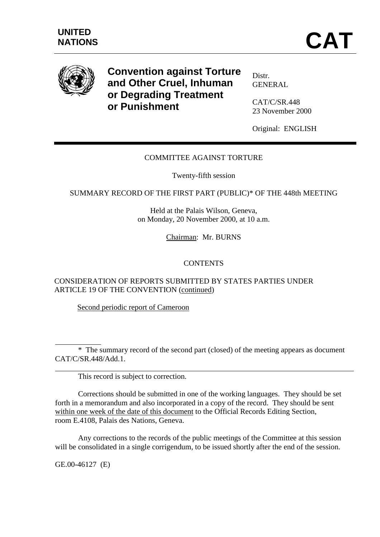

**Convention against Torture and Other Cruel, Inhuman or Degrading Treatment or Punishment**

Distr. GENERAL

CAT/C/SR.448 23 November 2000

Original: ENGLISH

# COMMITTEE AGAINST TORTURE

Twenty-fifth session

SUMMARY RECORD OF THE FIRST PART (PUBLIC)\* OF THE 448th MEETING

Held at the Palais Wilson, Geneva, on Monday, 20 November 2000, at 10 a.m.

Chairman: Mr. BURNS

## **CONTENTS**

CONSIDERATION OF REPORTS SUBMITTED BY STATES PARTIES UNDER ARTICLE 19 OF THE CONVENTION (continued)

Second periodic report of Cameroon

\* The summary record of the second part (closed) of the meeting appears as document CAT/C/SR.448/Add.1.

This record is subject to correction.

Corrections should be submitted in one of the working languages. They should be set forth in a memorandum and also incorporated in a copy of the record. They should be sent within one week of the date of this document to the Official Records Editing Section, room E.4108, Palais des Nations, Geneva.

Any corrections to the records of the public meetings of the Committee at this session will be consolidated in a single corrigendum, to be issued shortly after the end of the session.

GE.00-46127 (E)

l

 $\overline{a}$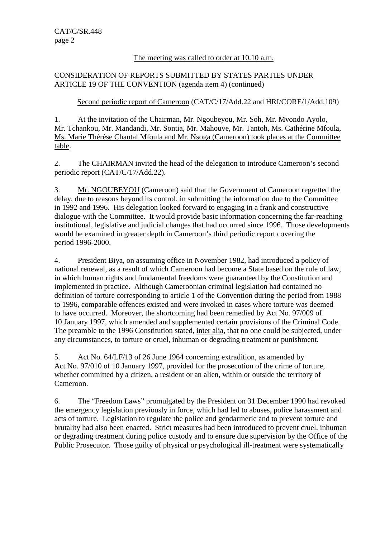## The meeting was called to order at 10.10 a.m.

## CONSIDERATION OF REPORTS SUBMITTED BY STATES PARTIES UNDER ARTICLE 19 OF THE CONVENTION (agenda item 4) (continued)

Second periodic report of Cameroon (CAT/C/17/Add.22 and HRI/CORE/1/Add.109)

1. At the invitation of the Chairman, Mr. Ngoubeyou, Mr. Soh, Mr. Mvondo Ayolo, Mr. Tchankou, Mr. Mandandi, Mr. Sontia, Mr. Mahouve, Mr. Tantoh, Ms. Cathérine Mfoula, Ms. Marie Thérèse Chantal Mfoula and Mr. Nsoga (Cameroon) took places at the Committee table.

2. The CHAIRMAN invited the head of the delegation to introduce Cameroon's second periodic report (CAT/C/17/Add.22).

3. Mr. NGOUBEYOU (Cameroon) said that the Government of Cameroon regretted the delay, due to reasons beyond its control, in submitting the information due to the Committee in 1992 and 1996. His delegation looked forward to engaging in a frank and constructive dialogue with the Committee. It would provide basic information concerning the far-reaching institutional, legislative and judicial changes that had occurred since 1996. Those developments would be examined in greater depth in Cameroon's third periodic report covering the period 1996-2000.

4. President Biya, on assuming office in November 1982, had introduced a policy of national renewal, as a result of which Cameroon had become a State based on the rule of law, in which human rights and fundamental freedoms were guaranteed by the Constitution and implemented in practice. Although Cameroonian criminal legislation had contained no definition of torture corresponding to article 1 of the Convention during the period from 1988 to 1996, comparable offences existed and were invoked in cases where torture was deemed to have occurred. Moreover, the shortcoming had been remedied by Act No. 97/009 of 10 January 1997, which amended and supplemented certain provisions of the Criminal Code. The preamble to the 1996 Constitution stated, inter alia, that no one could be subjected, under any circumstances, to torture or cruel, inhuman or degrading treatment or punishment.

5. Act No. 64/LF/13 of 26 June 1964 concerning extradition, as amended by Act No. 97/010 of 10 January 1997, provided for the prosecution of the crime of torture, whether committed by a citizen, a resident or an alien, within or outside the territory of Cameroon.

6. The "Freedom Laws" promulgated by the President on 31 December 1990 had revoked the emergency legislation previously in force, which had led to abuses, police harassment and acts of torture. Legislation to regulate the police and gendarmerie and to prevent torture and brutality had also been enacted. Strict measures had been introduced to prevent cruel, inhuman or degrading treatment during police custody and to ensure due supervision by the Office of the Public Prosecutor. Those guilty of physical or psychological ill-treatment were systematically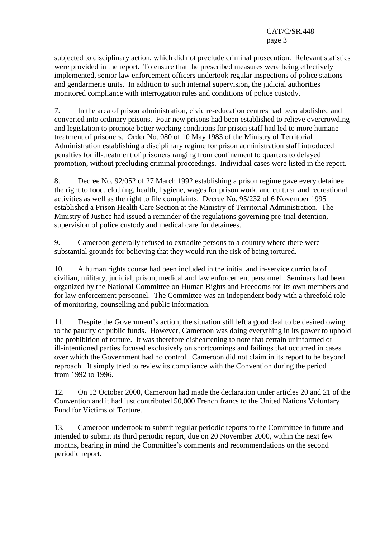subjected to disciplinary action, which did not preclude criminal prosecution. Relevant statistics were provided in the report. To ensure that the prescribed measures were being effectively implemented, senior law enforcement officers undertook regular inspections of police stations and gendarmerie units. In addition to such internal supervision, the judicial authorities monitored compliance with interrogation rules and conditions of police custody.

7. In the area of prison administration, civic re-education centres had been abolished and converted into ordinary prisons. Four new prisons had been established to relieve overcrowding and legislation to promote better working conditions for prison staff had led to more humane treatment of prisoners. Order No. 080 of 10 May 1983 of the Ministry of Territorial Administration establishing a disciplinary regime for prison administration staff introduced penalties for ill-treatment of prisoners ranging from confinement to quarters to delayed promotion, without precluding criminal proceedings. Individual cases were listed in the report.

8. Decree No. 92/052 of 27 March 1992 establishing a prison regime gave every detainee the right to food, clothing, health, hygiene, wages for prison work, and cultural and recreational activities as well as the right to file complaints. Decree No. 95/232 of 6 November 1995 established a Prison Health Care Section at the Ministry of Territorial Administration. The Ministry of Justice had issued a reminder of the regulations governing pre-trial detention, supervision of police custody and medical care for detainees.

9. Cameroon generally refused to extradite persons to a country where there were substantial grounds for believing that they would run the risk of being tortured.

10. A human rights course had been included in the initial and in-service curricula of civilian, military, judicial, prison, medical and law enforcement personnel. Seminars had been organized by the National Committee on Human Rights and Freedoms for its own members and for law enforcement personnel. The Committee was an independent body with a threefold role of monitoring, counselling and public information.

11. Despite the Government's action, the situation still left a good deal to be desired owing to the paucity of public funds. However, Cameroon was doing everything in its power to uphold the prohibition of torture. It was therefore disheartening to note that certain uninformed or ill-intentioned parties focused exclusively on shortcomings and failings that occurred in cases over which the Government had no control. Cameroon did not claim in its report to be beyond reproach. It simply tried to review its compliance with the Convention during the period from 1992 to 1996.

12. On 12 October 2000, Cameroon had made the declaration under articles 20 and 21 of the Convention and it had just contributed 50,000 French francs to the United Nations Voluntary Fund for Victims of Torture.

13. Cameroon undertook to submit regular periodic reports to the Committee in future and intended to submit its third periodic report, due on 20 November 2000, within the next few months, bearing in mind the Committee's comments and recommendations on the second periodic report.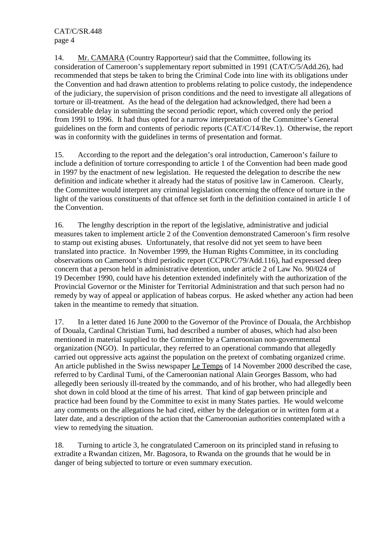14. Mr. CAMARA (Country Rapporteur) said that the Committee, following its consideration of Cameroon's supplementary report submitted in 1991 (CAT/C/5/Add.26), had recommended that steps be taken to bring the Criminal Code into line with its obligations under the Convention and had drawn attention to problems relating to police custody, the independence of the judiciary, the supervision of prison conditions and the need to investigate all allegations of torture or ill-treatment. As the head of the delegation had acknowledged, there had been a considerable delay in submitting the second periodic report, which covered only the period from 1991 to 1996. It had thus opted for a narrow interpretation of the Committee's General guidelines on the form and contents of periodic reports (CAT/C/14/Rev.1). Otherwise, the report was in conformity with the guidelines in terms of presentation and format.

15. According to the report and the delegation's oral introduction, Cameroon's failure to include a definition of torture corresponding to article 1 of the Convention had been made good in 1997 by the enactment of new legislation. He requested the delegation to describe the new definition and indicate whether it already had the status of positive law in Cameroon. Clearly, the Committee would interpret any criminal legislation concerning the offence of torture in the light of the various constituents of that offence set forth in the definition contained in article 1 of the Convention.

16. The lengthy description in the report of the legislative, administrative and judicial measures taken to implement article 2 of the Convention demonstrated Cameroon's firm resolve to stamp out existing abuses. Unfortunately, that resolve did not yet seem to have been translated into practice. In November 1999, the Human Rights Committee, in its concluding observations on Cameroon's third periodic report (CCPR/C/79/Add.116), had expressed deep concern that a person held in administrative detention, under article 2 of Law No. 90/024 of 19 December 1990, could have his detention extended indefinitely with the authorization of the Provincial Governor or the Minister for Territorial Administration and that such person had no remedy by way of appeal or application of habeas corpus. He asked whether any action had been taken in the meantime to remedy that situation.

17. In a letter dated 16 June 2000 to the Governor of the Province of Douala, the Archbishop of Douala, Cardinal Christian Tumi, had described a number of abuses, which had also been mentioned in material supplied to the Committee by a Cameroonian non-governmental organization (NGO). In particular, they referred to an operational commando that allegedly carried out oppressive acts against the population on the pretext of combating organized crime. An article published in the Swiss newspaper Le Temps of 14 November 2000 described the case, referred to by Cardinal Tumi, of the Cameroonian national Alain Georges Bassom, who had allegedly been seriously ill-treated by the commando, and of his brother, who had allegedly been shot down in cold blood at the time of his arrest. That kind of gap between principle and practice had been found by the Committee to exist in many States parties. He would welcome any comments on the allegations he had cited, either by the delegation or in written form at a later date, and a description of the action that the Cameroonian authorities contemplated with a view to remedying the situation.

18. Turning to article 3, he congratulated Cameroon on its principled stand in refusing to extradite a Rwandan citizen, Mr. Bagosora, to Rwanda on the grounds that he would be in danger of being subjected to torture or even summary execution.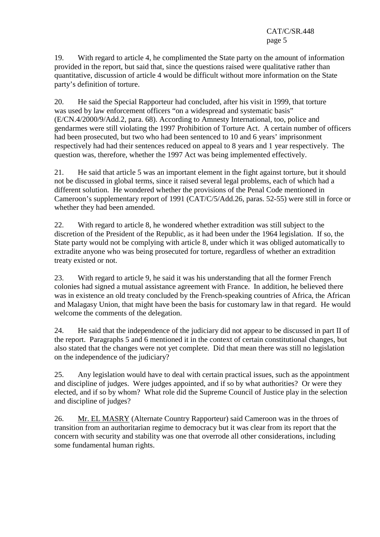19. With regard to article 4, he complimented the State party on the amount of information provided in the report, but said that, since the questions raised were qualitative rather than quantitative, discussion of article 4 would be difficult without more information on the State party's definition of torture.

20. He said the Special Rapporteur had concluded, after his visit in 1999, that torture was used by law enforcement officers "on a widespread and systematic basis" (E/CN.4/2000/9/Add.2, para. 68). According to Amnesty International, too, police and gendarmes were still violating the 1997 Prohibition of Torture Act. A certain number of officers had been prosecuted, but two who had been sentenced to 10 and 6 years' imprisonment respectively had had their sentences reduced on appeal to 8 years and 1 year respectively. The question was, therefore, whether the 1997 Act was being implemented effectively.

21. He said that article 5 was an important element in the fight against torture, but it should not be discussed in global terms, since it raised several legal problems, each of which had a different solution. He wondered whether the provisions of the Penal Code mentioned in Cameroon's supplementary report of 1991 (CAT/C/5/Add.26, paras. 52-55) were still in force or whether they had been amended.

22. With regard to article 8, he wondered whether extradition was still subject to the discretion of the President of the Republic, as it had been under the 1964 legislation. If so, the State party would not be complying with article 8, under which it was obliged automatically to extradite anyone who was being prosecuted for torture, regardless of whether an extradition treaty existed or not.

23. With regard to article 9, he said it was his understanding that all the former French colonies had signed a mutual assistance agreement with France. In addition, he believed there was in existence an old treaty concluded by the French-speaking countries of Africa, the African and Malagasy Union, that might have been the basis for customary law in that regard. He would welcome the comments of the delegation.

24. He said that the independence of the judiciary did not appear to be discussed in part II of the report. Paragraphs 5 and 6 mentioned it in the context of certain constitutional changes, but also stated that the changes were not yet complete. Did that mean there was still no legislation on the independence of the judiciary?

25. Any legislation would have to deal with certain practical issues, such as the appointment and discipline of judges. Were judges appointed, and if so by what authorities? Or were they elected, and if so by whom? What role did the Supreme Council of Justice play in the selection and discipline of judges?

26. Mr. EL MASRY (Alternate Country Rapporteur) said Cameroon was in the throes of transition from an authoritarian regime to democracy but it was clear from its report that the concern with security and stability was one that overrode all other considerations, including some fundamental human rights.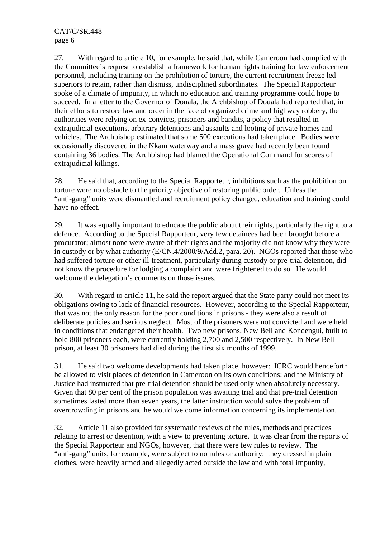27. With regard to article 10, for example, he said that, while Cameroon had complied with the Committee's request to establish a framework for human rights training for law enforcement personnel, including training on the prohibition of torture, the current recruitment freeze led superiors to retain, rather than dismiss, undisciplined subordinates. The Special Rapporteur spoke of a climate of impunity, in which no education and training programme could hope to succeed. In a letter to the Governor of Douala, the Archbishop of Douala had reported that, in their efforts to restore law and order in the face of organized crime and highway robbery, the authorities were relying on ex-convicts, prisoners and bandits, a policy that resulted in extrajudicial executions, arbitrary detentions and assaults and looting of private homes and vehicles. The Archbishop estimated that some 500 executions had taken place. Bodies were occasionally discovered in the Nkam waterway and a mass grave had recently been found containing 36 bodies. The Archbishop had blamed the Operational Command for scores of extrajudicial killings.

28. He said that, according to the Special Rapporteur, inhibitions such as the prohibition on torture were no obstacle to the priority objective of restoring public order. Unless the "anti-gang" units were dismantled and recruitment policy changed, education and training could have no effect.

29. It was equally important to educate the public about their rights, particularly the right to a defence. According to the Special Rapporteur, very few detainees had been brought before a procurator; almost none were aware of their rights and the majority did not know why they were in custody or by what authority (E/CN.4/2000/9/Add.2, para. 20). NGOs reported that those who had suffered torture or other ill-treatment, particularly during custody or pre-trial detention, did not know the procedure for lodging a complaint and were frightened to do so. He would welcome the delegation's comments on those issues.

30. With regard to article 11, he said the report argued that the State party could not meet its obligations owing to lack of financial resources. However, according to the Special Rapporteur, that was not the only reason for the poor conditions in prisons - they were also a result of deliberate policies and serious neglect. Most of the prisoners were not convicted and were held in conditions that endangered their health. Two new prisons, New Bell and Kondengui, built to hold 800 prisoners each, were currently holding 2,700 and 2,500 respectively. In New Bell prison, at least 30 prisoners had died during the first six months of 1999.

31. He said two welcome developments had taken place, however: ICRC would henceforth be allowed to visit places of detention in Cameroon on its own conditions; and the Ministry of Justice had instructed that pre-trial detention should be used only when absolutely necessary. Given that 80 per cent of the prison population was awaiting trial and that pre-trial detention sometimes lasted more than seven years, the latter instruction would solve the problem of overcrowding in prisons and he would welcome information concerning its implementation.

32. Article 11 also provided for systematic reviews of the rules, methods and practices relating to arrest or detention, with a view to preventing torture. It was clear from the reports of the Special Rapporteur and NGOs, however, that there were few rules to review. The "anti-gang" units, for example, were subject to no rules or authority: they dressed in plain clothes, were heavily armed and allegedly acted outside the law and with total impunity,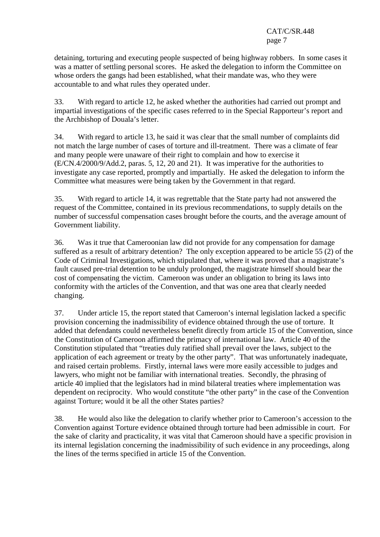detaining, torturing and executing people suspected of being highway robbers. In some cases it was a matter of settling personal scores. He asked the delegation to inform the Committee on whose orders the gangs had been established, what their mandate was, who they were accountable to and what rules they operated under.

33. With regard to article 12, he asked whether the authorities had carried out prompt and impartial investigations of the specific cases referred to in the Special Rapporteur's report and the Archbishop of Douala's letter.

34. With regard to article 13, he said it was clear that the small number of complaints did not match the large number of cases of torture and ill-treatment. There was a climate of fear and many people were unaware of their right to complain and how to exercise it (E/CN.4/2000/9/Add.2, paras. 5, 12, 20 and 21). It was imperative for the authorities to investigate any case reported, promptly and impartially. He asked the delegation to inform the Committee what measures were being taken by the Government in that regard.

35. With regard to article 14, it was regrettable that the State party had not answered the request of the Committee, contained in its previous recommendations, to supply details on the number of successful compensation cases brought before the courts, and the average amount of Government liability.

36. Was it true that Cameroonian law did not provide for any compensation for damage suffered as a result of arbitrary detention? The only exception appeared to be article 55 (2) of the Code of Criminal Investigations, which stipulated that, where it was proved that a magistrate's fault caused pre-trial detention to be unduly prolonged, the magistrate himself should bear the cost of compensating the victim. Cameroon was under an obligation to bring its laws into conformity with the articles of the Convention, and that was one area that clearly needed changing.

37. Under article 15, the report stated that Cameroon's internal legislation lacked a specific provision concerning the inadmissibility of evidence obtained through the use of torture. It added that defendants could nevertheless benefit directly from article 15 of the Convention, since the Constitution of Cameroon affirmed the primacy of international law. Article 40 of the Constitution stipulated that "treaties duly ratified shall prevail over the laws, subject to the application of each agreement or treaty by the other party". That was unfortunately inadequate, and raised certain problems. Firstly, internal laws were more easily accessible to judges and lawyers, who might not be familiar with international treaties. Secondly, the phrasing of article 40 implied that the legislators had in mind bilateral treaties where implementation was dependent on reciprocity. Who would constitute "the other party" in the case of the Convention against Torture; would it be all the other States parties?

38. He would also like the delegation to clarify whether prior to Cameroon's accession to the Convention against Torture evidence obtained through torture had been admissible in court. For the sake of clarity and practicality, it was vital that Cameroon should have a specific provision in its internal legislation concerning the inadmissibility of such evidence in any proceedings, along the lines of the terms specified in article 15 of the Convention.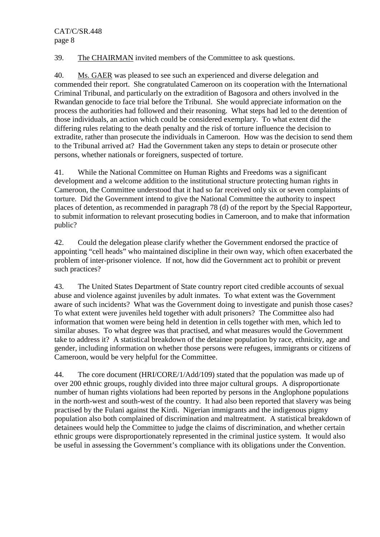39. The CHAIRMAN invited members of the Committee to ask questions.

40. Ms. GAER was pleased to see such an experienced and diverse delegation and commended their report. She congratulated Cameroon on its cooperation with the International Criminal Tribunal, and particularly on the extradition of Bagosora and others involved in the Rwandan genocide to face trial before the Tribunal. She would appreciate information on the process the authorities had followed and their reasoning. What steps had led to the detention of those individuals, an action which could be considered exemplary. To what extent did the differing rules relating to the death penalty and the risk of torture influence the decision to extradite, rather than prosecute the individuals in Cameroon. How was the decision to send them to the Tribunal arrived at? Had the Government taken any steps to detain or prosecute other persons, whether nationals or foreigners, suspected of torture.

41. While the National Committee on Human Rights and Freedoms was a significant development and a welcome addition to the institutional structure protecting human rights in Cameroon, the Committee understood that it had so far received only six or seven complaints of torture. Did the Government intend to give the National Committee the authority to inspect places of detention, as recommended in paragraph 78 (d) of the report by the Special Rapporteur, to submit information to relevant prosecuting bodies in Cameroon, and to make that information public?

42. Could the delegation please clarify whether the Government endorsed the practice of appointing "cell heads" who maintained discipline in their own way, which often exacerbated the problem of inter-prisoner violence. If not, how did the Government act to prohibit or prevent such practices?

43. The United States Department of State country report cited credible accounts of sexual abuse and violence against juveniles by adult inmates. To what extent was the Government aware of such incidents? What was the Government doing to investigate and punish those cases? To what extent were juveniles held together with adult prisoners? The Committee also had information that women were being held in detention in cells together with men, which led to similar abuses. To what degree was that practised, and what measures would the Government take to address it? A statistical breakdown of the detainee population by race, ethnicity, age and gender, including information on whether those persons were refugees, immigrants or citizens of Cameroon, would be very helpful for the Committee.

44. The core document (HRI/CORE/1/Add/109) stated that the population was made up of over 200 ethnic groups, roughly divided into three major cultural groups. A disproportionate number of human rights violations had been reported by persons in the Anglophone populations in the north-west and south-west of the country. It had also been reported that slavery was being practised by the Fulani against the Kirdi. Nigerian immigrants and the indigenous pigmy population also both complained of discrimination and maltreatment. A statistical breakdown of detainees would help the Committee to judge the claims of discrimination, and whether certain ethnic groups were disproportionately represented in the criminal justice system. It would also be useful in assessing the Government's compliance with its obligations under the Convention.